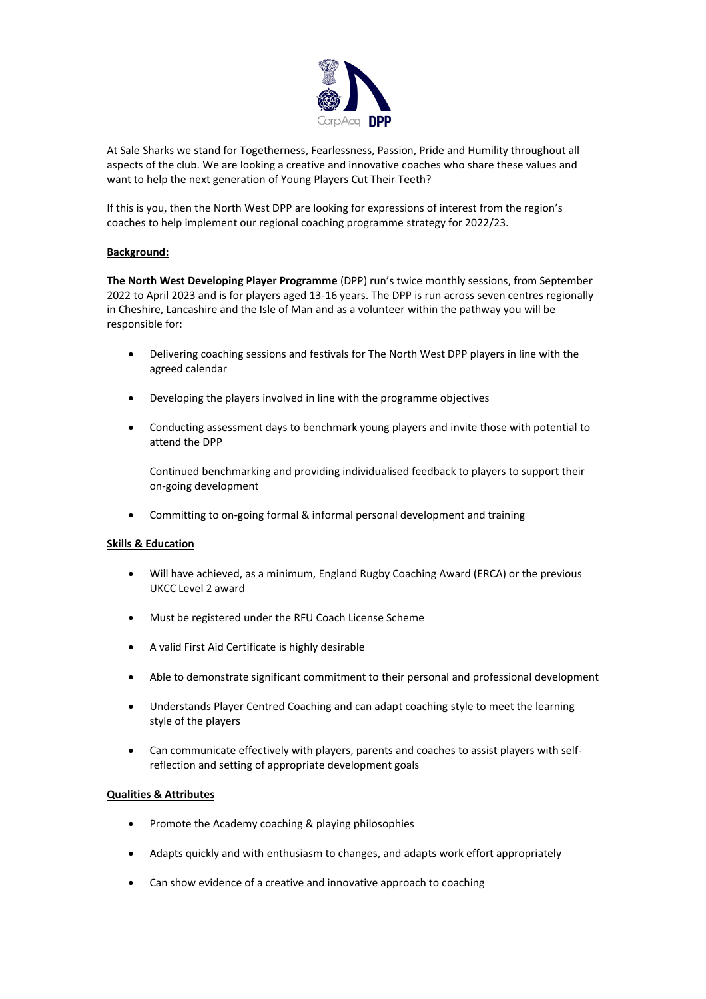

At Sale Sharks we stand for Togetherness, Fearlessness, Passion, Pride and Humility throughout all aspects of the club. We are looking a creative and innovative coaches who share these values and want to help the next generation of Young Players Cut Their Teeth?

If this is you, then the North West DPP are looking for expressions of interest from the region's coaches to help implement our regional coaching programm[e strategy](http://www.salesharks.com/rugby/join-the-academy.php#.WNKGxxKLTaY) for 2022/23.

## **Background:**

**The North West [Developing Player Programme](http://www.salesharks.com/rugby/dpp.php)** (DPP) run's twice monthly sessions, from September 2022 to April 2023 and is for players aged 13-16 years. The DPP is run across seven centres regionally in Cheshire, Lancashire and the Isle of Man and as a volunteer within the pathway you will be responsible for:

- Delivering coaching sessions and festivals for The North West DPP players in line with the agreed calendar
- Developing the players involved in line with the programme objectives
- Conducting assessment days to benchmark young players and invite those with potential to attend the DPP

Continued benchmarking and providing individualised feedback to players to support their on-going development

• Committing to on-going formal & informal personal development and training

## **Skills & Education**

- Will have achieved, as a minimum, England Rugby Coaching Award (ERCA) or the previous UKCC Level 2 award
- Must be registered under the RFU Coach License Scheme
- A valid First Aid Certificate is highly desirable
- Able to demonstrate significant commitment to their personal and professional development
- Understands Player Centred Coaching and can adapt coaching style to meet the learning style of the players
- Can communicate effectively with players, parents and coaches to assist players with selfreflection and setting of appropriate development goals

## **Qualities & Attributes**

- Promote the Academy coaching & playing philosophies
- Adapts quickly and with enthusiasm to changes, and adapts work effort appropriately
- Can show evidence of a creative and innovative approach to coaching